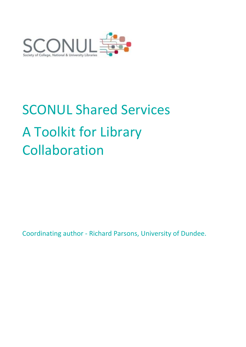

# SCONUL Shared Services A Toolkit for Library Collaboration

Coordinating author - Richard Parsons, University of Dundee.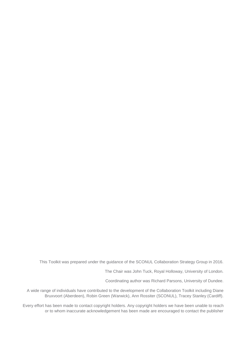This Toolkit was prepared under the guidance of the SCONUL Collaboration Strategy Group in 2016.

The Chair was John Tuck, Royal Holloway, University of London.

Coordinating author was Richard Parsons, University of Dundee.

A wide range of individuals have contributed to the development of the Collaboration Toolkit including Diane Bruxvoort (Aberdeen), Robin Green (Warwick), Ann Rossiter (SCONUL), Tracey Stanley (Cardiff).

Every effort has been made to contact copyright holders. Any copyright holders we have been unable to reach or to whom inaccurate acknowledgement has been made are encouraged to contact the publisher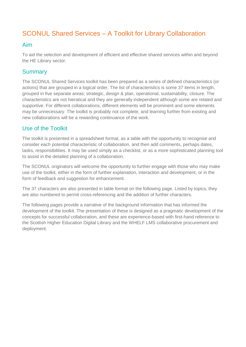# SCONUL Shared Services – A Toolkit for Library Collaboration

#### Aim

To aid the selection and development of efficient and effective shared services within and beyond the HE Library sector.

#### **Summary**

The SCONUL Shared Services toolkit has been prepared as a series of defined characteristics (or actions) that are grouped in a logical order. The list of characteristics is some 37 items in length, grouped in five separate areas; strategic, design & plan, operational, sustainability, closure. The characteristics are not hieratical and they are generally independent although some are related and supportive. For different collaborations, different elements will be prominent and some elements may be unnecessary. The toolkit is probably not complete, and learning further from existing and new collaborations will be a rewarding continuance of the work.

#### Use of the Toolkit

The toolkit is presented in a spreadsheet format, as a table with the opportunity to recognise and consider each potential characteristic of collaboration, and then add comments, perhaps dates, tasks, responsibilities. It may be used simply as a checklist, or as a more sophisticated planning tool to assist in the detailed planning of a collaboration.

The SCONUL originators will welcome the opportunity to further engage with those who may make use of the toolkit, either in the form of further explanation, interaction and development, or in the form of feedback and suggestion for enhancement.

The 37 characters are also presented in table format on the following page. Listed by topics, they are also numbered to permit cross-referencing and the addition of further characters.

The following pages provide a narrative of the background information that has informed the development of the toolkit. The presentation of these is designed as a pragmatic development of the concepts for successful collaboration, and these are experience-based with first-hand reference to the Scottish Higher Education Digital Library and the WHELF LMS collaborative procurement and deployment.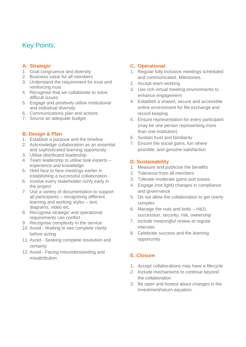# Key Points.

#### **A. Strategic**

- 1. Goal congruence and diversity
- 2. Business value for all members
- 3. Understand the requirement for trust and reinforcing trust
- 4. Recognise that we collaborate to solve difficult issues
- 5. Engage and positively utilise institutional and individual diversity
- 6. Communications plan and actions
- 7. Source an adequate budget

#### **B. Design & Plan**

- 1. Establish a purpose and the timeline
- 2. Acknowledge collaboration as an essential and sophisticated learning opportunity
- 3. Utilise distributed leadership
- 4. Team leadership to utilise task experts experience and knowledge
- 5. Hold face to face meetings earlier in establishing a successful collaboration.
- 6. Involve every stakeholder richly early in the project
- 7. Use a variety of documentation to support all participants – recognising different learning and working styles – text, diagrams, video etc.
- 8. Recognise strategic and operational requirements can conflict
- 9. Recognise complexity in the service
- 10. Avoid Waiting to see complete clarity before acting
- 11. Avoid Seeking complete resolution and certainty
- 12. Avoid Facing misunderstanding and misattribution

#### **C. Operational**

- 1. Regular fully inclusive meetings scheduled and communicated. Milestones.
- 2. Accept team working
- 3. Use rich virtual meeting environments to enhance engagement
- 4. Establish a shared, secure and accessible online environment for file exchange and record keeping
- 5. Ensure representation for every participant (may be one person representing more than one institution)
- 6. Sustain trust and familiarity
- 7. Ensure the social gains, fun where possible, and genuine satisfaction

#### **D. Sustainability**

- 1. Measure and publicise the benefits
- 2. Tolerance from all members
- 3. Tolerate moderate gains and losses
- 4. Engage (not fight) changes in compliance and governance
- 5. Do not allow the collaboration to get overly complex
- 6. Manage the nuts and bolts H&S, succession, security, risk, ownership
- 7. Include meaningful review at regular intervals
- 8. Celebrate success and the learning opportunity

#### **E. Closure**

- 1. Accept collaborations may have a lifecycle
- 2. Include mechanisms to continue beyond the collaboration
- 3. Be open and honest about changes in the investment/return equation.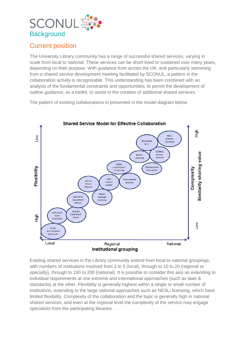# **SCONUL Background**

# Current position

The University Library community has a range of successful shared services, varying in scale from local to national. These services can be short-lived or sustained over many years, depending on their purpose. With guidance from across the UK, and particularly stemming from a shared service development meeting facilitated by SCONUL, a pattern in the collaboration activity is recognisable. This understanding has been combined with an analysis of the fundamental constraints and opportunities, to permit the development of outline guidance, as a toolkit, to assist in the creation of additional shared services.

The pattern of existing collaborations in presented in the model diagram below.



Existing shared services in the Library community extend from local to national groupings, with numbers of institutions involved from 2 to 5 (local), through to 10 to 20 (regional or specialty), through to 100 to 200 (national). It is possible to consider this axis as extending to individual requirements at one extreme and international approaches (such as laws & standards) at the other. Flexibility is generally highest within a single or small number of institutions, extending to the large national approaches such as NESLi licensing, which have limited flexibility. Complexity of the collaboration and the topic is generally high in national shared services, and even at the regional level the complexity of the service may engage specialists from the participating libraries.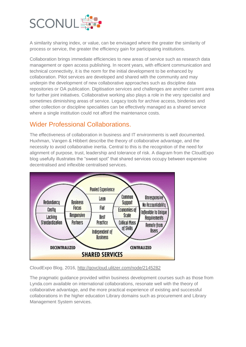

A similarity sharing index, or value, can be envisaged where the greater the similarity of process or service, the greater the efficiency gain for participating institutions.

Collaboration brings immediate efficiencies to new areas of service such as research data management or open access publishing. In recent years, with efficient communication and technical connectivity, it is the norm for the initial development to be enhanced by collaboration. Pilot services are developed and shared with the community and may underpin the development of new collaborative approaches such as discipline data repositories or OA publication. Digitisation services and challenges are another current area for further joint initiatives. Collaborative working also plays a role in the very specialist and sometimes diminishing areas of service. Legacy tools for archive access, binderies and other collection or discipline specialities can be effectively managed as a shared service where a single institution could not afford the maintenance costs.

### Wider Professional Collaborations.

The effectiveness of collaboration in business and IT environments is well documented. Huxhman, Vangen & Hibbert describe the theory of collaborative advantage, and the necessity to avoid collaborative inertia. Central to this is the recognition of the need for alignment of purpose, trust, leadership and tolerance of risk. A diagram from the CloudExpo blog usefully illustrates the "sweet spot" that shared services occupy between expensive decentralised and inflexible centralised services.



CloudExpo Blog, 2016,<http://govcloud.ulitzer.com/node/2145282>

The pragmatic guidance provided within business development courses such as those from Lynda.com available on international collaborations, resonate well with the theory of collaborative advantage, and the more practical experience of existing and successful collaborations in the higher education Library domains such as procurement and Library Management System services.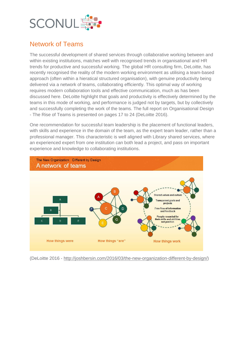

# Network of Teams

The successful development of shared services through collaborative working between and within existing institutions, matches well with recognised trends in organisational and HR trends for productive and successful working. The global HR consulting firm, DeLoitte, has recently recognised the reality of the modern working environment as utilising a team-based approach (often within a hieratical structured organisation), with genuine productivity being delivered via a network of teams, collaborating efficiently. This optimal way of working requires modern collaboration tools and effective communication, much as has been discussed here. DeLoitte highlight that goals and productivity is effectively determined by the teams in this mode of working, and performance is judged not by targets, but by collectively and successfully completing the work of the teams. The full report on Organisational Design - The Rise of Teams is presented on pages 17 to 24 (DeLoitte 2016).

One recommendation for successful team leadership is the placement of functional leaders, with skills and experience in the domain of the team, as the expert team leader, rather than a professional manager. This characteristic is well aligned with Library shared services, where an experienced expert from one institution can both lead a project, and pass on important experience and knowledge to collaborating institutions.



(DeLoitte 2016 - [http://joshbersin.com/2016/03/the-new-organization-different-by-design/\)](http://joshbersin.com/2016/03/the-new-organization-different-by-design/)